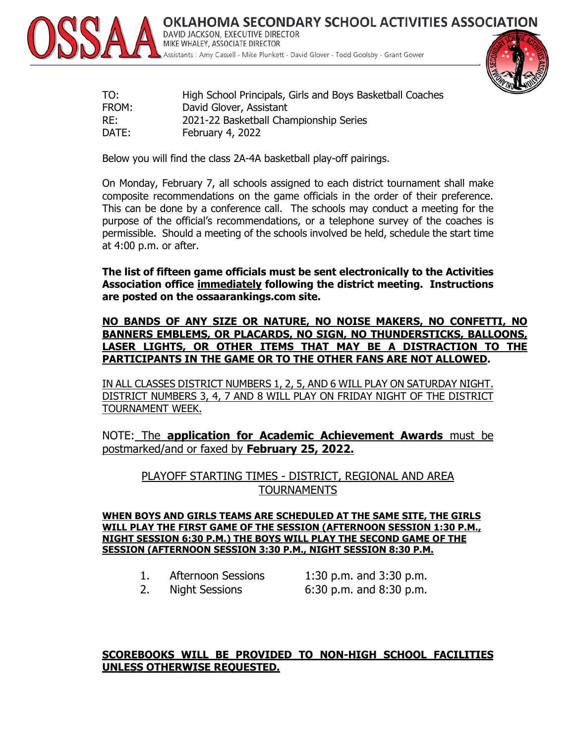

OKLAHOMA SECONDARY SCHOOL ACTIVITIES ASSOCIATION DAVID JACKSON, EXECUTIVE DIRECTOR MIKE WHALEY, ASSOCIATE DIRECTOR Assistants : Amy Cassell - Mike Plunkett - David Glover - Todd Goolsby - Grant Gower



| TO:   | High School Principals, Girls and Boys Basketball Coaches |
|-------|-----------------------------------------------------------|
| FROM: | David Glover, Assistant                                   |
| RE:   | 2021-22 Basketball Championship Series                    |
| DATE: | February 4, 2022                                          |

Below you will find the class 2A-4A basketball play-off pairings.

On Monday, February 7, all schools assigned to each district tournament shall make composite recommendations on the game officials in the order of their preference. This can be done by a conference call. The schools may conduct a meeting for the purpose of the official's recommendations, or a telephone survey of the coaches is permissible. Should a meeting of the schools involved be held, schedule the start time at 4:00 p.m. or after.

**The list of fifteen game officials must be sent electronically to the Activities Association office immediately following the district meeting. Instructions are posted on the ossaarankings.com site.**

### **NO BANDS OF ANY SIZE OR NATURE, NO NOISE MAKERS, NO CONFETTI, NO BANNERS EMBLEMS, OR PLACARDS, NO SIGN, NO THUNDERSTICKS, BALLOONS, LASER LIGHTS, OR OTHER ITEMS THAT MAY BE A DISTRACTION TO THE PARTICIPANTS IN THE GAME OR TO THE OTHER FANS ARE NOT ALLOWED.**

IN ALL CLASSES DISTRICT NUMBERS 1, 2, 5, AND 6 WILL PLAY ON SATURDAY NIGHT. DISTRICT NUMBERS 3, 4, 7 AND 8 WILL PLAY ON FRIDAY NIGHT OF THE DISTRICT TOURNAMENT WEEK.

NOTE: The **application for Academic Achievement Awards** must be postmarked/and or faxed by **February 25, 2022.**

PLAYOFF STARTING TIMES - DISTRICT, REGIONAL AND AREA TOURNAMENTS

**WHEN BOYS AND GIRLS TEAMS ARE SCHEDULED AT THE SAME SITE, THE GIRLS WILL PLAY THE FIRST GAME OF THE SESSION (AFTERNOON SESSION 1:30 P.M., NIGHT SESSION 6:30 P.M.) THE BOYS WILL PLAY THE SECOND GAME OF THE SESSION (AFTERNOON SESSION 3:30 P.M., NIGHT SESSION 8:30 P.M.**

| 1. | <b>Afternoon Sessions</b> |  |
|----|---------------------------|--|
|----|---------------------------|--|

1:30 p.m. and  $3:30$  p.m. 2. Night Sessions 6:30 p.m. and 8:30 p.m.

### **SCOREBOOKS WILL BE PROVIDED TO NON-HIGH SCHOOL FACILITIES UNLESS OTHERWISE REQUESTED.**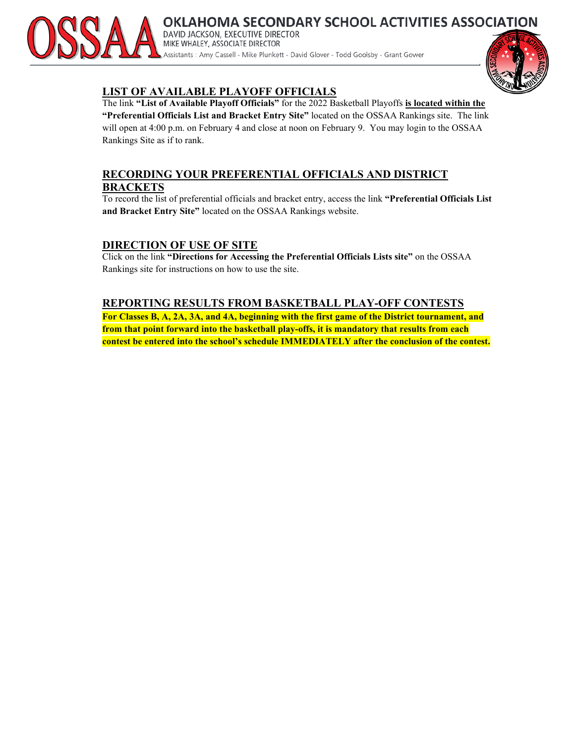

OKLAHOMA SECONDARY SCHOOL ACTIVITIES ASSOCIATION DAVID JACKSON, EXECUTIVE DIRECTOR MIKE WHALEY, ASSOCIATE DIRECTOR Assistants : Amy Cassell - Mike Plunkett - David Glover - Todd Goolsby - Grant Gower

### **LIST OF AVAILABLE PLAYOFF OFFICIALS**

The link **"List of Available Playoff Officials"** for the 2022 Basketball Playoffs **is located within the "Preferential Officials List and Bracket Entry Site"** located on the OSSAA Rankings site. The link will open at 4:00 p.m. on February 4 and close at noon on February 9. You may login to the OSSAA Rankings Site as if to rank.

### **RECORDING YOUR PREFERENTIAL OFFICIALS AND DISTRICT BRACKETS**

To record the list of preferential officials and bracket entry, access the link **"Preferential Officials List and Bracket Entry Site"** located on the OSSAA Rankings website.

### **DIRECTION OF USE OF SITE**

Click on the link **"Directions for Accessing the Preferential Officials Lists site"** on the OSSAA Rankings site for instructions on how to use the site.

### **REPORTING RESULTS FROM BASKETBALL PLAY-OFF CONTESTS**

**For Classes B, A, 2A, 3A, and 4A, beginning with the first game of the District tournament, and from that point forward into the basketball play-offs, it is mandatory that results from each contest be entered into the school's schedule IMMEDIATELY after the conclusion of the contest.**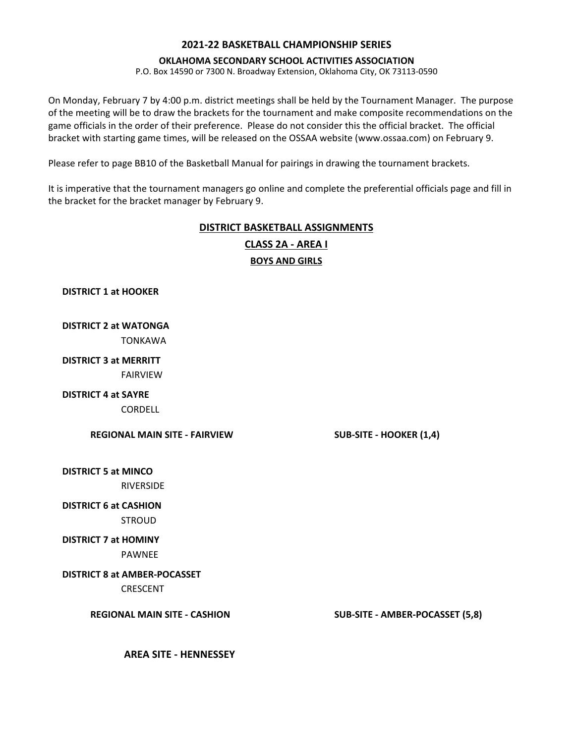#### **OKLAHOMA SECONDARY SCHOOL ACTIVITIES ASSOCIATION**

P.O. Box 14590 or 7300 N. Broadway Extension, Oklahoma City, OK 73113-0590

On Monday, February 7 by 4:00 p.m. district meetings shall be held by the Tournament Manager. The purpose of the meeting will be to draw the brackets for the tournament and make composite recommendations on the game officials in the order of their preference. Please do not consider this the official bracket. The official bracket with starting game times, will be released on the OSSAA website (www.ossaa.com) on February 9.

Please refer to page BB10 of the Basketball Manual for pairings in drawing the tournament brackets.

It is imperative that the tournament managers go online and complete the preferential officials page and fill in the bracket for the bracket manager by February 9.

### **DISTRICT BASKETBALL ASSIGNMENTS BOYS AND GIRLS CLASS 2A - AREA I**

**DISTRICT 1 at HOOKER**

# **DISTRICT 2 at WATONGA**

TONKAWA

### **DISTRICT 3 at MERRITT** FAIRVIEW

**DISTRICT 4 at SAYRE**

**CORDELL** 

**REGIONAL MAIN SITE - FAIRVIEW SUB-SITE - HOOKER (1,4)**

**DISTRICT 5 at MINCO** RIVERSIDE

### **DISTRICT 6 at CASHION**

**STROUD** 

### **DISTRICT 7 at HOMINY**

PAWNEE

### **DISTRICT 8 at AMBER-POCASSET**

CRESCENT

**REGIONAL MAIN SITE - CASHION SUB-SITE - AMBER-POCASSET (5,8)**

**AREA SITE - HENNESSEY**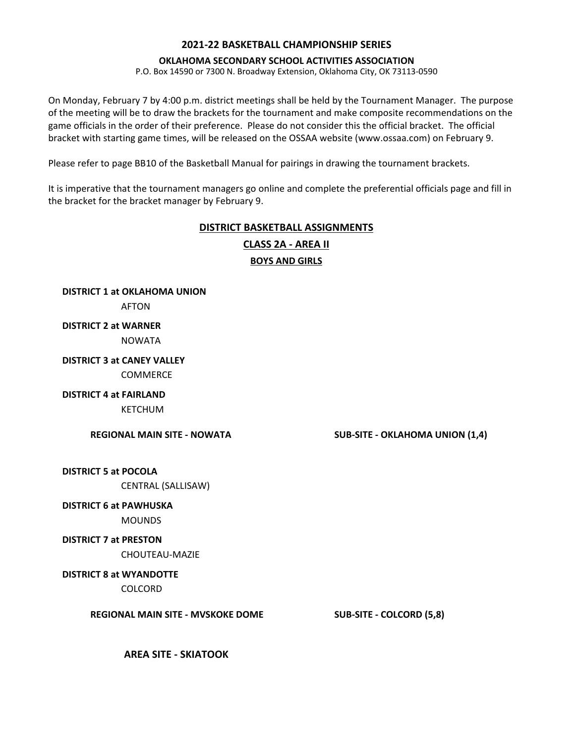#### **OKLAHOMA SECONDARY SCHOOL ACTIVITIES ASSOCIATION**

P.O. Box 14590 or 7300 N. Broadway Extension, Oklahoma City, OK 73113-0590

On Monday, February 7 by 4:00 p.m. district meetings shall be held by the Tournament Manager. The purpose of the meeting will be to draw the brackets for the tournament and make composite recommendations on the game officials in the order of their preference. Please do not consider this the official bracket. The official bracket with starting game times, will be released on the OSSAA website (www.ossaa.com) on February 9.

Please refer to page BB10 of the Basketball Manual for pairings in drawing the tournament brackets.

It is imperative that the tournament managers go online and complete the preferential officials page and fill in the bracket for the bracket manager by February 9.

### **DISTRICT BASKETBALL ASSIGNMENTS**

**CLASS 2A - AREA II**

### **BOYS AND GIRLS**

**DISTRICT 1 at OKLAHOMA UNION** AFTON **DISTRICT 2 at WARNER**  NOWATA **DISTRICT 3 at CANEY VALLEY** COMMERCE

### **DISTRICT 4 at FAIRLAND**

KETCHUM

**REGIONAL MAIN SITE - NOWATA SUB-SITE - OKLAHOMA UNION (1,4)**

**DISTRICT 5 at POCOLA**

CENTRAL (SALLISAW)

### **DISTRICT 6 at PAWHUSKA**

**MOUNDS** 

### **DISTRICT 7 at PRESTON**

CHOUTEAU-MAZIE

### **DISTRICT 8 at WYANDOTTE**

COLCORD

**REGIONAL MAIN SITE - MVSKOKE DOME SUB-SITE - COLCORD (5,8)**

**AREA SITE - SKIATOOK**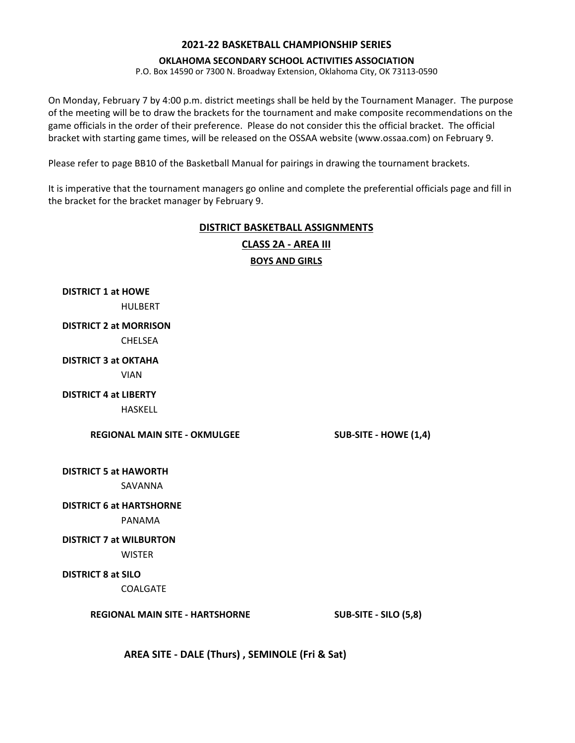#### **OKLAHOMA SECONDARY SCHOOL ACTIVITIES ASSOCIATION**

P.O. Box 14590 or 7300 N. Broadway Extension, Oklahoma City, OK 73113-0590

On Monday, February 7 by 4:00 p.m. district meetings shall be held by the Tournament Manager. The purpose of the meeting will be to draw the brackets for the tournament and make composite recommendations on the game officials in the order of their preference. Please do not consider this the official bracket. The official bracket with starting game times, will be released on the OSSAA website (www.ossaa.com) on February 9.

Please refer to page BB10 of the Basketball Manual for pairings in drawing the tournament brackets.

It is imperative that the tournament managers go online and complete the preferential officials page and fill in the bracket for the bracket manager by February 9.

### **DISTRICT BASKETBALL ASSIGNMENTS**

**BOYS AND GIRLS CLASS 2A - AREA III**

**DISTRICT 1 at HOWE** HULBERT **DISTRICT 2 at MORRISON** CHELSEA **DISTRICT 3 at OKTAHA**

VIAN

**DISTRICT 4 at LIBERTY**

HASKELL

**REGIONAL MAIN SITE - OKMULGEE SUB-SITE - HOWE (1,4)**

**DISTRICT 5 at HAWORTH**

SAVANNA

### **DISTRICT 6 at HARTSHORNE**

PANAMA

### **DISTRICT 7 at WILBURTON**

**WISTER** 

**DISTRICT 8 at SILO**

COALGATE

**REGIONAL MAIN SITE - HARTSHORNE SUB-SITE - SILO (5,8)**

**AREA SITE - DALE (Thurs) , SEMINOLE (Fri & Sat)**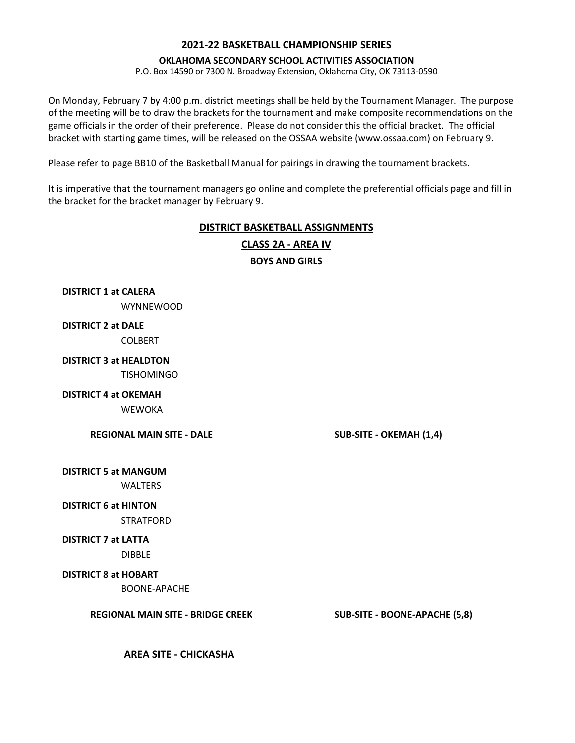#### **OKLAHOMA SECONDARY SCHOOL ACTIVITIES ASSOCIATION**

P.O. Box 14590 or 7300 N. Broadway Extension, Oklahoma City, OK 73113-0590

On Monday, February 7 by 4:00 p.m. district meetings shall be held by the Tournament Manager. The purpose of the meeting will be to draw the brackets for the tournament and make composite recommendations on the game officials in the order of their preference. Please do not consider this the official bracket. The official bracket with starting game times, will be released on the OSSAA website (www.ossaa.com) on February 9.

Please refer to page BB10 of the Basketball Manual for pairings in drawing the tournament brackets.

It is imperative that the tournament managers go online and complete the preferential officials page and fill in the bracket for the bracket manager by February 9.

### **DISTRICT BASKETBALL ASSIGNMENTS**

**BOYS AND GIRLS CLASS 2A - AREA IV**

**DISTRICT 1 at CALERA** WYNNEWOOD

### **DISTRICT 2 at DALE**

COLBERT

# **DISTRICT 3 at HEALDTON**

**TISHOMINGO** 

### **DISTRICT 4 at OKEMAH**

**WEWOKA** 

**REGIONAL MAIN SITE - DALE SUB-SITE - OKEMAH (1,4)**

**DISTRICT 5 at MANGUM**

**WALTERS** 

### **DISTRICT 6 at HINTON**

STRATFORD

### **DISTRICT 7 at LATTA**

DIBBLE

### **DISTRICT 8 at HOBART**

BOONE-APACHE

**REGIONAL MAIN SITE - BRIDGE CREEK SUB-SITE - BOONE-APACHE (5,8)**

**AREA SITE - CHICKASHA**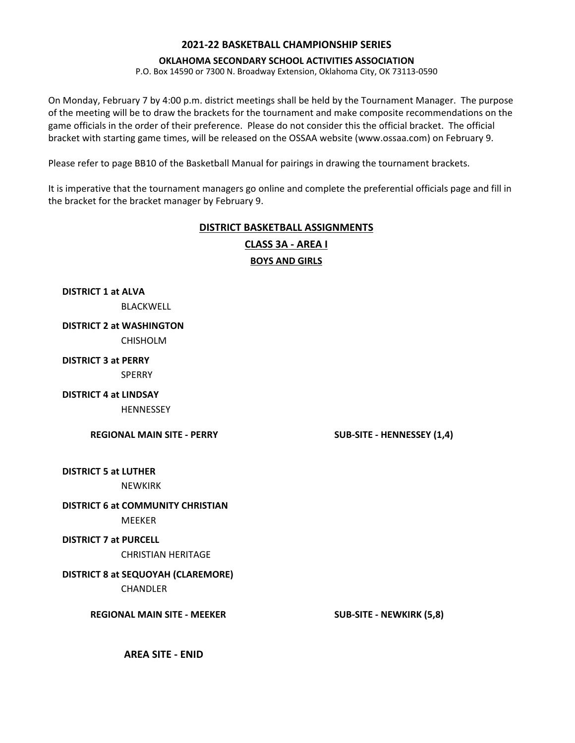#### **OKLAHOMA SECONDARY SCHOOL ACTIVITIES ASSOCIATION**

P.O. Box 14590 or 7300 N. Broadway Extension, Oklahoma City, OK 73113-0590

On Monday, February 7 by 4:00 p.m. district meetings shall be held by the Tournament Manager. The purpose of the meeting will be to draw the brackets for the tournament and make composite recommendations on the game officials in the order of their preference. Please do not consider this the official bracket. The official bracket with starting game times, will be released on the OSSAA website (www.ossaa.com) on February 9.

Please refer to page BB10 of the Basketball Manual for pairings in drawing the tournament brackets.

It is imperative that the tournament managers go online and complete the preferential officials page and fill in the bracket for the bracket manager by February 9.

# **DISTRICT BASKETBALL ASSIGNMENTS**



**DISTRICT 1 at ALVA**  BLACKWELL

**DISTRICT 2 at WASHINGTON**

CHISHOLM

**DISTRICT 3 at PERRY**

**SPERRY** 

**DISTRICT 4 at LINDSAY**

**HENNESSEY** 

**REGIONAL MAIN SITE - PERRY SUB-SITE - HENNESSEY (1,4)**

**DISTRICT 5 at LUTHER**

NEWKIRK

### **DISTRICT 6 at COMMUNITY CHRISTIAN**

MEEKER

### **DISTRICT 7 at PURCELL**

CHRISTIAN HERITAGE

### **DISTRICT 8 at SEQUOYAH (CLAREMORE)**

**CHANDLER** 

**REGIONAL MAIN SITE - MEEKER SUB-SITE - NEWKIRK (5,8)**

**AREA SITE - ENID**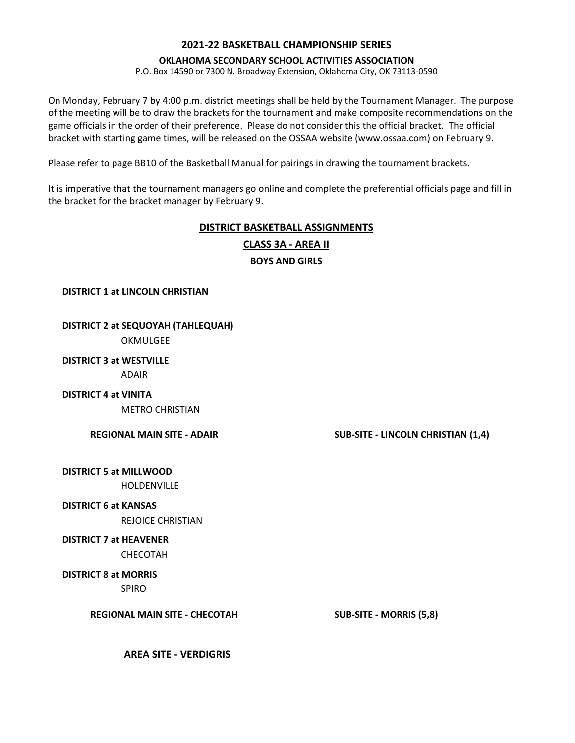### **OKLAHOMA SECONDARY SCHOOL ACTIVITIES ASSOCIATION**

P.O. Box 14590 or 7300 N. Broadway Extension, Oklahoma City, OK 73113-0590

On Monday, February 7 by 4:00 p.m. district meetings shall be held by the Tournament Manager. The purpose of the meeting will be to draw the brackets for the tournament and make composite recommendations on the game officials in the order of their preference. Please do not consider this the official bracket. The official bracket with starting game times, will be released on the OSSAA website (www.ossaa.com) on February 9.

Please refer to page BB10 of the Basketball Manual for pairings in drawing the tournament brackets.

It is imperative that the tournament managers go online and complete the preferential officials page and fill in the bracket for the bracket manager by February 9.

### **DISTRICT BASKETBALL ASSIGNMENTS BOYS AND GIRLS CLASS 3A - AREA II**

**DISTRICT 1 at LINCOLN CHRISTIAN**

### **DISTRICT 2 at SEQUOYAH (TAHLEQUAH)**

OKMULGEE

### **DISTRICT 3 at WESTVILLE** ADAIR

### **DISTRICT 4 at VINITA**

METRO CHRISTIAN

### **REGIONAL MAIN SITE - ADAIR SUB-SITE - LINCOLN CHRISTIAN (1,4)**

**DISTRICT 5 at MILLWOOD** HOLDENVILLE

### **DISTRICT 6 at KANSAS**

REJOICE CHRISTIAN

### **DISTRICT 7 at HEAVENER**

CHECOTAH

**DISTRICT 8 at MORRIS**

SPIRO

**REGIONAL MAIN SITE - CHECOTAH SUB-SITE - MORRIS (5,8)**

**AREA SITE - VERDIGRIS**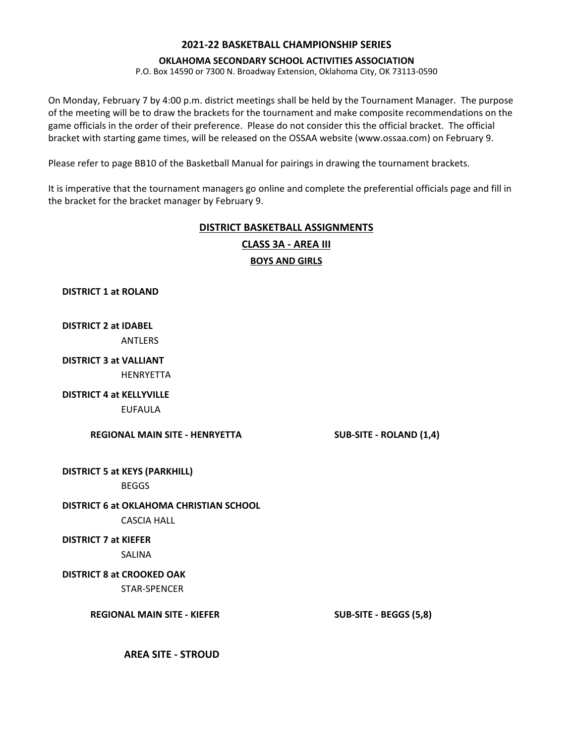#### **OKLAHOMA SECONDARY SCHOOL ACTIVITIES ASSOCIATION**

P.O. Box 14590 or 7300 N. Broadway Extension, Oklahoma City, OK 73113-0590

On Monday, February 7 by 4:00 p.m. district meetings shall be held by the Tournament Manager. The purpose of the meeting will be to draw the brackets for the tournament and make composite recommendations on the game officials in the order of their preference. Please do not consider this the official bracket. The official bracket with starting game times, will be released on the OSSAA website (www.ossaa.com) on February 9.

Please refer to page BB10 of the Basketball Manual for pairings in drawing the tournament brackets.

It is imperative that the tournament managers go online and complete the preferential officials page and fill in the bracket for the bracket manager by February 9.

### **DISTRICT BASKETBALL ASSIGNMENTS**

**BOYS AND GIRLS CLASS 3A - AREA III**

**DISTRICT 1 at ROLAND**

**DISTRICT 2 at IDABEL ANTIFRS** 

**DISTRICT 3 at VALLIANT**

HENRYETTA

**DISTRICT 4 at KELLYVILLE**

EUFAULA

**REGIONAL MAIN SITE - HENRYETTA SUB-SITE - ROLAND (1,4)**

**DISTRICT 5 at KEYS (PARKHILL)**

**BEGGS** 

**DISTRICT 6 at OKLAHOMA CHRISTIAN SCHOOL**

CASCIA HALL

**DISTRICT 7 at KIEFER**

SALINA

**DISTRICT 8 at CROOKED OAK**  STAR-SPENCER

**REGIONAL MAIN SITE - KIEFER SUB-SITE - BEGGS (5,8)**

**AREA SITE - STROUD**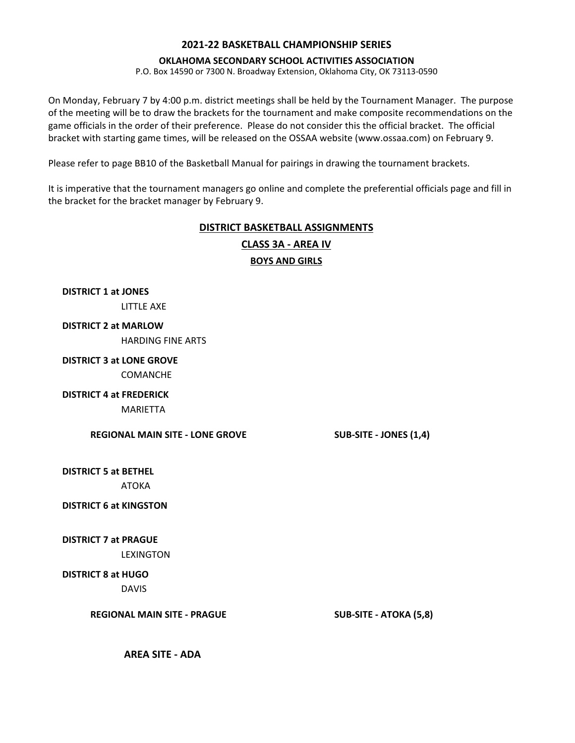#### **OKLAHOMA SECONDARY SCHOOL ACTIVITIES ASSOCIATION**

P.O. Box 14590 or 7300 N. Broadway Extension, Oklahoma City, OK 73113-0590

On Monday, February 7 by 4:00 p.m. district meetings shall be held by the Tournament Manager. The purpose of the meeting will be to draw the brackets for the tournament and make composite recommendations on the game officials in the order of their preference. Please do not consider this the official bracket. The official bracket with starting game times, will be released on the OSSAA website (www.ossaa.com) on February 9.

Please refer to page BB10 of the Basketball Manual for pairings in drawing the tournament brackets.

It is imperative that the tournament managers go online and complete the preferential officials page and fill in the bracket for the bracket manager by February 9.

### **DISTRICT BASKETBALL ASSIGNMENTS**

**BOYS AND GIRLS CLASS 3A - AREA IV**

**DISTRICT 1 at JONES**

LITTLE AXE

### **DISTRICT 2 at MARLOW**

HARDING FINE ARTS

### **DISTRICT 3 at LONE GROVE**

COMANCHE

### **DISTRICT 4 at FREDERICK**

MARIETTA

**REGIONAL MAIN SITE - LONE GROVE SUB-SITE - JONES (1,4)**

**DISTRICT 5 at BETHEL** ATOKA

### **DISTRICT 6 at KINGSTON**

**DISTRICT 7 at PRAGUE**

LEXINGTON

### **DISTRICT 8 at HUGO**

DAVIS

**REGIONAL MAIN SITE - PRAGUE SUB-SITE - ATOKA (5,8)**

**AREA SITE - ADA**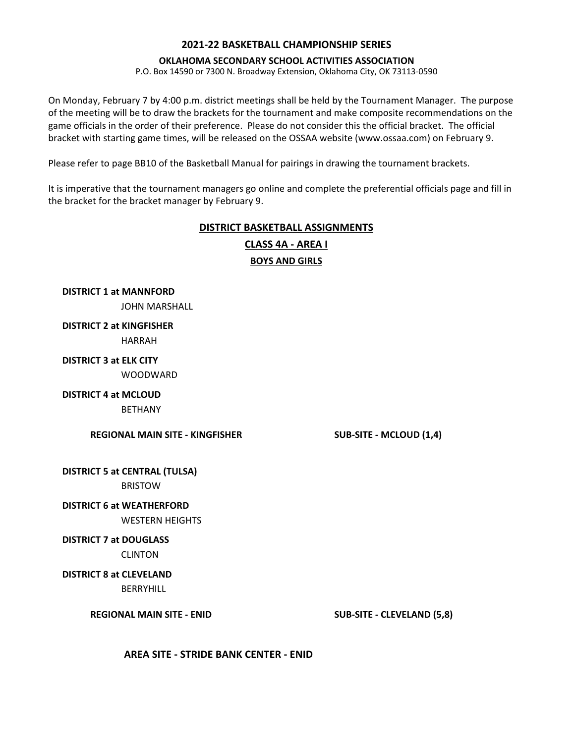#### **OKLAHOMA SECONDARY SCHOOL ACTIVITIES ASSOCIATION**

P.O. Box 14590 or 7300 N. Broadway Extension, Oklahoma City, OK 73113-0590

On Monday, February 7 by 4:00 p.m. district meetings shall be held by the Tournament Manager. The purpose of the meeting will be to draw the brackets for the tournament and make composite recommendations on the game officials in the order of their preference. Please do not consider this the official bracket. The official bracket with starting game times, will be released on the OSSAA website (www.ossaa.com) on February 9.

Please refer to page BB10 of the Basketball Manual for pairings in drawing the tournament brackets.

It is imperative that the tournament managers go online and complete the preferential officials page and fill in the bracket for the bracket manager by February 9.

## **DISTRICT BASKETBALL ASSIGNMENTS**



**DISTRICT 1 at MANNFORD** JOHN MARSHALL

**DISTRICT 2 at KINGFISHER** HARRAH

**DISTRICT 3 at ELK CITY WOODWARD** 

**DISTRICT 4 at MCLOUD**

**BETHANY** 

**REGIONAL MAIN SITE - KINGFISHER SUB-SITE - MCLOUD (1,4)**

**DISTRICT 5 at CENTRAL (TULSA)** BRISTOW

**DISTRICT 6 at WEATHERFORD**

WESTERN HEIGHTS

**DISTRICT 7 at DOUGLASS**

CLINTON

**DISTRICT 8 at CLEVELAND**

BERRYHILL

**REGIONAL MAIN SITE - ENID SUB-SITE - CLEVELAND (5,8)**

**AREA SITE - STRIDE BANK CENTER - ENID**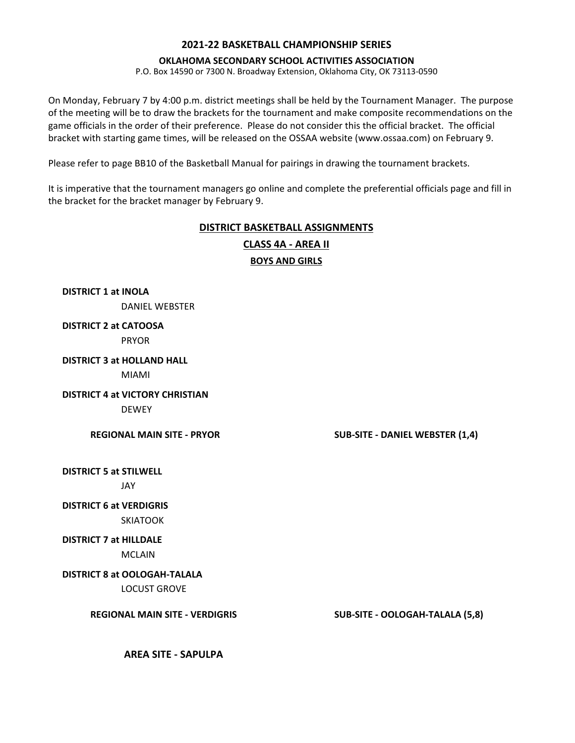#### **OKLAHOMA SECONDARY SCHOOL ACTIVITIES ASSOCIATION**

P.O. Box 14590 or 7300 N. Broadway Extension, Oklahoma City, OK 73113-0590

On Monday, February 7 by 4:00 p.m. district meetings shall be held by the Tournament Manager. The purpose of the meeting will be to draw the brackets for the tournament and make composite recommendations on the game officials in the order of their preference. Please do not consider this the official bracket. The official bracket with starting game times, will be released on the OSSAA website (www.ossaa.com) on February 9.

Please refer to page BB10 of the Basketball Manual for pairings in drawing the tournament brackets.

It is imperative that the tournament managers go online and complete the preferential officials page and fill in the bracket for the bracket manager by February 9.

### **DISTRICT BASKETBALL ASSIGNMENTS BOYS AND GIRLS CLASS 4A - AREA II**

**DISTRICT 1 at INOLA** DANIEL WEBSTER

**DISTRICT 2 at CATOOSA** PRYOR

**DISTRICT 3 at HOLLAND HALL**

MIAMI

**DISTRICT 4 at VICTORY CHRISTIAN DEWEY** 

**REGIONAL MAIN SITE - PRYOR SUB-SITE - DANIEL WEBSTER (1,4)**

**DISTRICT 5 at STILWELL**

JAY

**DISTRICT 6 at VERDIGRIS** SKIATOOK

**DISTRICT 7 at HILLDALE**

MCLAIN

**DISTRICT 8 at OOLOGAH-TALALA**

LOCUST GROVE

**REGIONAL MAIN SITE - VERDIGRIS SUB-SITE - OOLOGAH-TALALA (5,8)**

**AREA SITE - SAPULPA**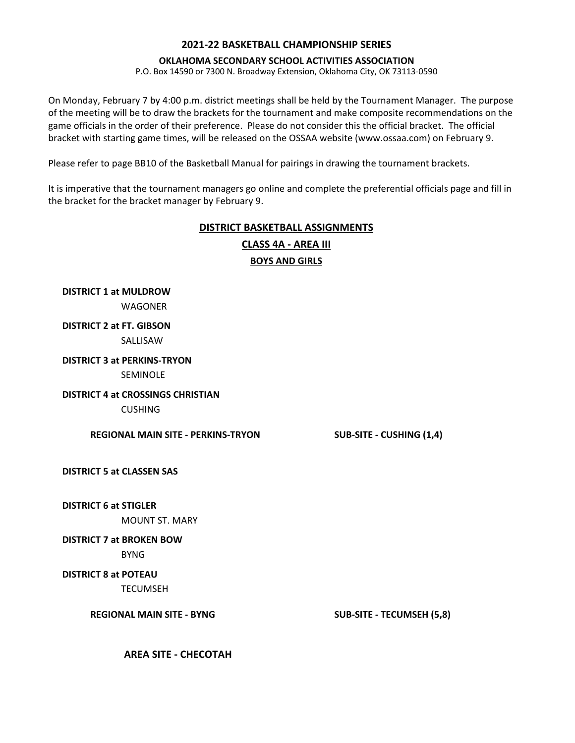#### **OKLAHOMA SECONDARY SCHOOL ACTIVITIES ASSOCIATION**

P.O. Box 14590 or 7300 N. Broadway Extension, Oklahoma City, OK 73113-0590

On Monday, February 7 by 4:00 p.m. district meetings shall be held by the Tournament Manager. The purpose of the meeting will be to draw the brackets for the tournament and make composite recommendations on the game officials in the order of their preference. Please do not consider this the official bracket. The official bracket with starting game times, will be released on the OSSAA website (www.ossaa.com) on February 9.

Please refer to page BB10 of the Basketball Manual for pairings in drawing the tournament brackets.

It is imperative that the tournament managers go online and complete the preferential officials page and fill in the bracket for the bracket manager by February 9.

### **DISTRICT BASKETBALL ASSIGNMENTS**

**BOYS AND GIRLS CLASS 4A - AREA III**

**DISTRICT 1 at MULDROW** WAGONER

### **DISTRICT 2 at FT. GIBSON** SALLISAW

**DISTRICT 3 at PERKINS-TRYON**

SEMINOLE

# **DISTRICT 4 at CROSSINGS CHRISTIAN**

CUSHING

**REGIONAL MAIN SITE - PERKINS-TRYON SUB-SITE - CUSHING (1,4)**

### **DISTRICT 5 at CLASSEN SAS**

### **DISTRICT 6 at STIGLER**

MOUNT ST. MARY

### **DISTRICT 7 at BROKEN BOW**

BYNG

### **DISTRICT 8 at POTEAU**

TECUMSEH

**REGIONAL MAIN SITE - BYNG SUB-SITE - TECUMSEH (5,8)**

**AREA SITE - CHECOTAH**